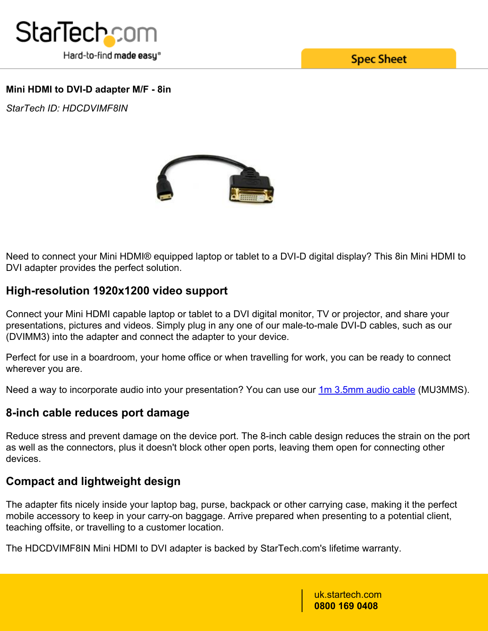

**Spec Sheet** 

### **Mini HDMI to DVI-D adapter M/F - 8in**

*StarTech ID: HDCDVIMF8IN*



Need to connect your Mini HDMI® equipped laptop or tablet to a DVI-D digital display? This 8in Mini HDMI to DVI adapter provides the perfect solution.

# **High-resolution 1920x1200 video support**

Connect your Mini HDMI capable laptop or tablet to a DVI digital monitor, TV or projector, and share your presentations, pictures and videos. Simply plug in any one of our male-to-male DVI-D cables, such as our (DVIMM3) into the adapter and connect the adapter to your device.

Perfect for use in a boardroom, your home office or when travelling for work, you can be ready to connect wherever you are.

Need a way to incorporate audio into your presentation? You can use our **1m 3.5mm audio cable** (MU3MMS).

# **8-inch cable reduces port damage**

Reduce stress and prevent damage on the device port. The 8-inch cable design reduces the strain on the port as well as the connectors, plus it doesn't block other open ports, leaving them open for connecting other devices.

# **Compact and lightweight design**

The adapter fits nicely inside your laptop bag, purse, backpack or other carrying case, making it the perfect mobile accessory to keep in your carry-on baggage. Arrive prepared when presenting to a potential client, teaching offsite, or travelling to a customer location.

The HDCDVIMF8IN Mini HDMI to DVI adapter is backed by StarTech.com's lifetime warranty.

uk.startech.com **0800 169 0408**